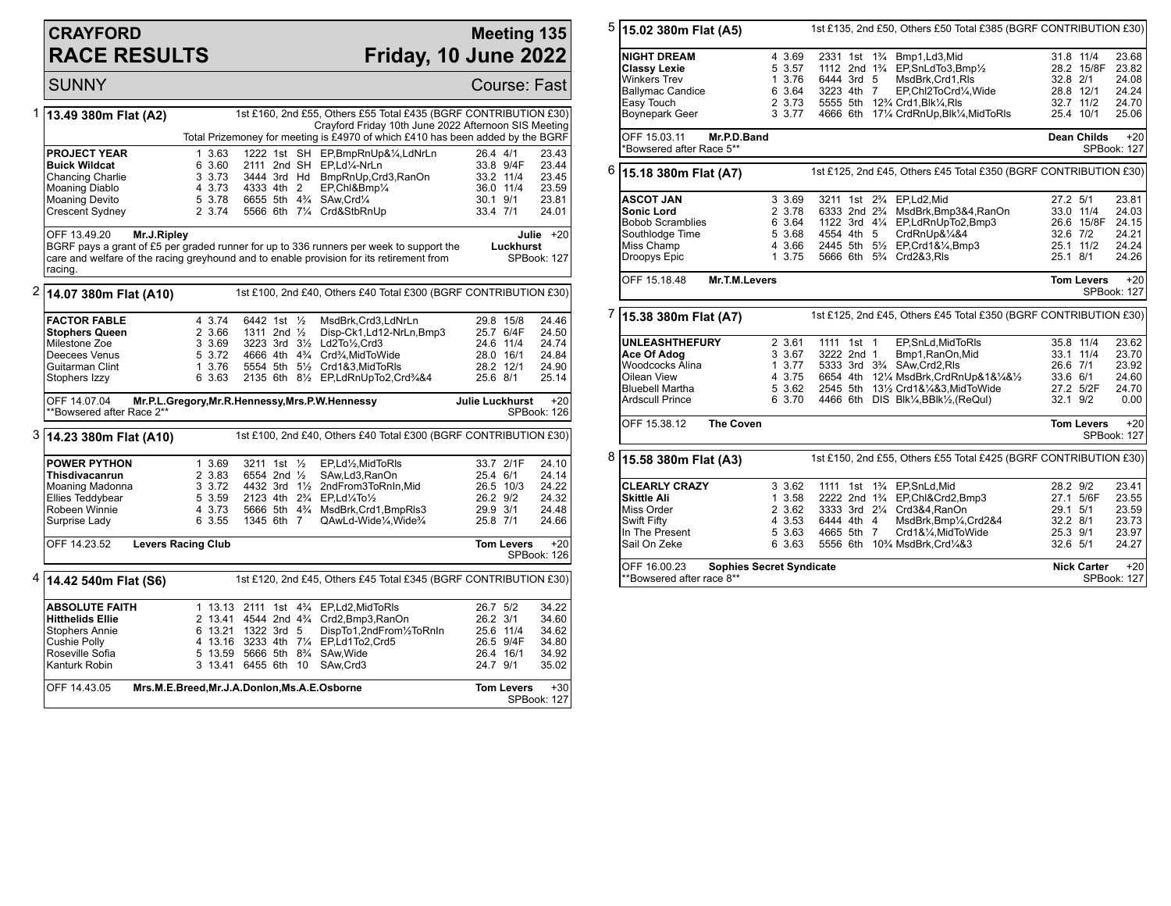## **CRAYFORD RACE RESULTS**

## **Meeting 135 Friday, 10 June 2022**

SUNNY Course: Fast 1 **13.49 380m Flat (A2)** 1st £160, 2nd £55, Others £55 Total £435 (BGRF CONTRIBUTION £30) Crayford Friday 10th June 2022 Afternoon SIS Meeting Total Prizemoney for meeting is £4970 of which £410 has been added by the BGRF **PROJECT YEAR** 1 3.63 1222 1st SH EP,BmpRnUp&¼,LdNrLn 26.4 4/1 23.43<br> **Buick Wildcat** 6 3.60 2111 2nd SH EP,Ld¼-NrLn 33.8 9/4F 23.44 **Buick Wildcat** 6 3.60 2111 2nd SH EP,Ld¼-NrLn 33.8 9/4F 23.44<br>Chancing Charlie 3 3.73 3444 3rd Hd BmpRnUp,Crd3,RanOn 33.2 11/4 23.45 Chancing Charlie 3 3.73 3444 3rd Hd BmpRnUp,Crd3,RanOn 33.2 11/4 23.45 Moaning Diablo 4 3.73 4333 4th 2 EP,Chl&Bmp¼ 36.0 11/4 23.59 Moaning Devito 5 3.78 6655 5th 4¾ SAw,Crd¼ 30.1 9/1 23.81 5566 6th 71/4 Crd&StbRnUp OFF 13.49.20 **Mr.J.Ripley** BGRF pays a grant of £5 per graded runner for up to 336 runners per week to support the care and welfare of the racing greyhound and to enable provision for its retirement from racing. **Julie** +20 **Luckhurst** SPBook: 127 2 **14.07 380m Flat (A10)** 1st £100, 2nd £40, Others £40 Total £300 (BGRF CONTRIBUTION £30) **FACTOR FABLE** 4 3.74 6442 1st 1/<sub>2</sub> MsdBrk,Crd3,LdNrLn 29.8 15/8 24.46<br>**Stophers Queen** 2 3.66 1311 2nd 1/<sub>2</sub> Disp-Ck1.Ld12-NrLn.Bmp3 25.7 6/4F 24.50 **Stophers Queen** 2 3.66 1311 2nd 1/<sub>2</sub> Disp-Ck1,Ld12-NrLn,Bmp3 25.7 6/4F<br>Milestone Zoe 3 3.69 3223 3rd 31/<sub>2</sub> Ld2To1/<sub>2</sub>,Crd3 24.6 11/4 Milestone Zoe 3 3.69 3223 3rd 3½ Ld2To½,Crd3 24.6 11/4 24.74 Deecees Venus 5 3.72 4666 4th 4¼ Crd¾,MidToWide 28.0 16/1 24.84<br>
Guitarman Clint 1 3.76 5554 5th 5½ Crd1&3,MidToRIs 28.2 12/1 24.90 Guitarman Clint 1 3.76 5554 5th 5<sup>1</sup>/<sub>2</sub> Crd1&3,MidToRls 28.2 12/1 24.90<br>Stophers Izzy 6 3.63 2135 6th 8<sup>1</sup>/<sub>2</sub> EP,LdRnUpTo2,Crd<sup>3</sup>/&4 25.6 8/1 25.14 2135 6th 81/2 EP,LdRnUpTo2,Crd3/4&4 OFF 14.07.04 **Mr.P.L.Gregory,Mr.R.Hennessy,Mrs.P.W.Hennessy** \*\*Bowsered after Race 2\*\* **Julie Luckhurst** +20 SPBook: 126 3 **14.23 380m Flat (A10)** 1st £100, 2nd £40, Others £40 Total £300 (BGRF CONTRIBUTION £30) **POWER PYTHON** 1 3.69 3211 1st 1/<sub>2</sub> EP,Ld1/<sub>2</sub>,MidToRls 33.7 2/1F 24.10<br> **Thisdivacanrun** 2 3.83 6554 2nd 1/<sub>2</sub> SAw,Ld3,RanOn 25.4 6/1 24.14 **Thisdivacanrun** 2 3.83 6554 2nd ½ SAw,Ld3,RanOn 25.4 6/1 24.14<br>Moaning Madonna 3 3.72 4432 3rd 1½ 2ndFrom3ToRnIn.Mid 26.5 10/3 24.22 Moaning Madonna 3 3.72 4432 3rd 1½ 2ndFrom3ToRnIn,Mid 26.5 10/3 24.22 Ellies Teddybear 5 3.59 2123 4th 2¾ EP,Ld¼To½ 26.2 9/2 24.32 Robeen Winnie 4 3.73 5666 5th 4% MsdBrk,Crd1,BmpRls3 29.9 3/1 24.48<br>Surprise Lady 6 3.55 1345 6th 7 QAwLd-QAwLd-Wide¼.Wide¾ OFF 14.23.52 **Levers Racing Club Tom Levers** +20 SPBook: 126 4 **14.42 540m Flat (S6)** 1st £120, 2nd £45, Others £45 Total £345 (BGRF CONTRIBUTION £30) **ABSOLUTE FAITH** 1 13.13 2111 1st 4<sup>2</sup>/<sub>4</sub> EP,Ld2,MidToRls 26.7 5/2 34.22<br> **Hitthelids Ellie** 2 13.41 4544 2nd 4<sup>2</sup>/<sub>4</sub> Crd2.Bmp3.RanOn 26.2 3/1 34.60 **Hitthelids Ellie** 2 13.41 4544 2nd 4¾ Crd2,Bmp3,RanOn 26.2 3/1 34.60<br>
Stophers Annie 6 13.21 1322 3rd 5 DispTo1,2ndFrom½ToRnIn 25.6 11/4 34.62 Stophers Annie 6 13.21 1322 3rd 5 DispTo1,2ndFrom½ToRnIn 25.6 11/4 34.62 Cushie Polly **4 13.16 3233 4th 7¼ EP,Ld1To2,Crd5** 26.5 9/4F 34.80<br>Roseville Sofia **13.59 5666 5th 8**¼ SAw Wide 26.4 16/1 34.92 Roseville Sofia 5 13.59 5666 5th 8¾ SAw,Wide 26.4 16/1 34.92 3 13.41 6455 6th 10 SAw,Crd3 OFF 14.43.05 **Mrs.M.E.Breed,Mr.J.A.Donlon,Ms.A.E.Osborne Tom Levers** +30 SPBook: 127

5 **15.02 380m Flat (A5)** 1st £135, 2nd £50, Others £50 Total £385 (BGRF CONTRIBUTION £30) **NIGHT DREAM** 4 3.69 2331 1st 1<sup>3</sup>/<sub>4</sub> Bmp1,Ld3,Mid 31.8 11/4 23.68<br> **Classy Lexie** 5 3.57 1112 2nd 1<sup>3</sup>/<sub>4</sub> EP.SnLdTo3.Bmp<sup>1</sup>/<sub>2</sub> 28.2 15/8F 23.82 **Classy Lexie** 5 3.57 1112 2nd 1¾ EP,SnLdTo3,Bmp½ 28.2 15/8F 23.82 Winkers Trev 1 3.76 6444 3rd 5 MsdBrk,Crd1,Rls 32.8 2/1 24.08<br>Ballymac Candice 6 3.64 3223 4th 7 EP,Chl2ToCrd¼,Wide 28.8 12/1 24.24 Ballymac Candice 6 3.64 3223 4th 7 EP,Chl2ToCrd¼,Wide 28.8 12/1 24.24 Easy Touch 2 3.73 5555 5th 12¾ Crd1,Blk¼,Rls 32.7 11/2 24.70 3 3.77 4666 6th 171/4 CrdRnUp, Blk1/4, MidToRls OFF 15.03.11 **Mr.P.D.Band** \*Bowsered after Race 5\*\* **Dean Childs** +20 SPBook: 127 6 **15.18 380m Flat (A7)** 1st £125, 2nd £45, Others £45 Total £350 (BGRF CONTRIBUTION £30) **ASCOT JAN** 3 3.69 3211 1st 2<sup>9</sup> EP,Ld2,Mid 37.2 5/1 23.81<br> **Sonic Lord** 2 3.78 6333 2nd 2<sup>9</sup> MsdBrk.Bmp3&4.RanOn 33.0 11/4 24.03 **Sonic Lord** 2 3.78 6333 2nd 2¾ MsdBrk,Bmp3&4,RanOn 33.0 11/4 24.03 Bobob Scramblies 6 3.64 1122 3rd 4¼ EP,LdRnUpTo2,Bmp3 26.6 15/8F 24.15 Southlodge Time 5 3.68 4554 4th 5 CrdRnUp&¼&4 32.6 7/2 24.21<br>Miss Champ 3 4 3.66 2445 5th 5½ EP,Crd1&¼,Bmp3 25.1 11/2 24.24 Miss Champ 4 3.66 2445 5th 5<sup>1</sup>/<sub>2</sub> EP,Crd1&1/<sub>4</sub>,Bmp3 25.1 11/2 24.24<br>Droopys Epic 1 3.75 5666 6th 5<sup>3</sup>/<sub>4</sub> Crd2&3,Rls 25.1 8/1 24.26 5666 6th 5<sup>3</sup>/<sub>4</sub> Crd2&3,Rls OFF 15.18.48 **Mr.T.M.Levers Tom Levers** +20 SPBook: 127 7 **15.38 380m Flat (A7)** 1st £125, 2nd £45, Others £45 Total £350 (BGRF CONTRIBUTION £30) **UNLEASHTHEFURY** 2 3.61 1111 1st 1 EP, SnLd, MidToRIs 35.8 11/4 23.62<br> **Ace Of Adog** 3 3.67 3222 2nd 1 Bmp1, RanOn, Mid 33.1 11/4 23.70 **Ace Of Adog** 3 3.67 3222 2nd 1 Bmp1,RanOn,Mid 33.1 11/4 23.70 Woodcocks Alina 1 3.77 5333 3rd 3¾ SAw,Crd2,Rls 26.6 7/1 23.92<br>Oilean View 1 3.75 6654 4th 12¼ MsdBrk,CrdRnUp&1&¼&½ 33.6 6/1 24.60 Oilean View 4 3.75 6654 4th 12¼ MsdBrk,CrdRnUp&1&¼&½ 33.6 6/1 24.60 Bluebell Martha 5 3.62 2545 5th 13½ Crd1&¼&3,MidToWide 27.2 5/2F 24.70 4466 6th DIS Blk¼,BBlk½,(ReQul) OFF 15.38.12 **The Coven Tom Levers** +20 SPBook: 127 8 **15.58 380m Flat (A3)** 1st £150, 2nd £55, Others £55 Total £425 (BGRF CONTRIBUTION £30) **CLEARLY CRAZY** 3 3.62 1111 1st 1¼ EP,SnLd,Mid 28.2 9/2 23.41<br>
Skittle Ali 27.1 5/6F 23.55 2222 2nd 1¼ EP,Chl&Crd2.Bmp3 27.1 5/6F 23.55 **Skittle Ali** 1 3.58 2222 2nd 1¾ EP,Chl&Crd2,Bmp3 27.1 5/6F 23.55 Miss Order 2 3.62 3333 3rd 2¼ Crd3&4,RanOn 29.1 5/1 23.59 Swift Fifty 4 3.53 6444 4th 4 MsdBrk,Bmp¼,Crd2&4 32.2 8/1 23.73 In The Present 5 3.63 4665 5th 7 Crd1&¼,MidToWide 25.3 9/1 23.97 5556 6th 10<sup>3</sup>/<sub>4</sub> MsdBrk,Crd<sup>1</sup>/4&3 OFF 16.00.23 **Sophies Secret Syndicate** \*\*Bowsered after race 8\*\* **Nick Carter** +20 SPBook: 127